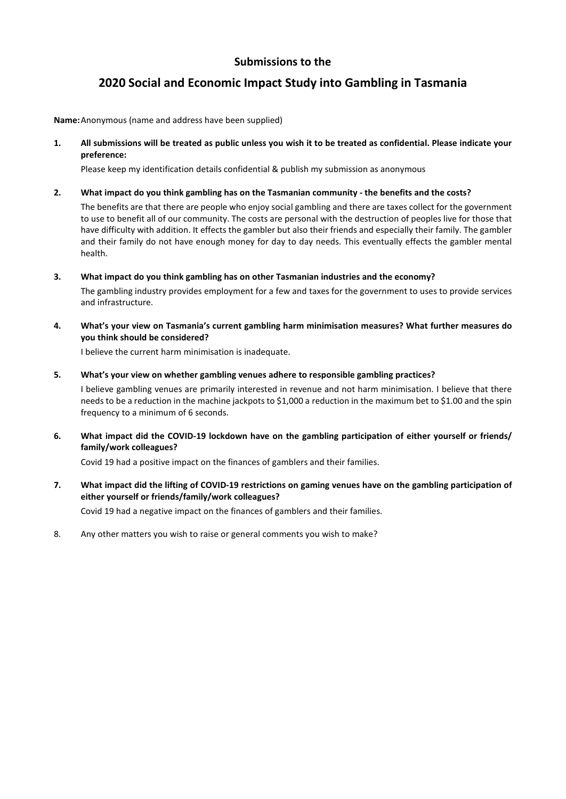# **2020 Social and Economic Impact Study into Gambling in Tasmania**

**Name:** Anonymous (name and address have been supplied)

**1. All submissions will be treated as public unless you wish it to be treated as confidential. Please indicate your preference:** 

Please keep my identification details confidential & publish my submission as anonymous

### **2. What impact do you think gambling has on the Tasmanian community - the benefits and the costs?**

The benefits are that there are people who enjoy social gambling and there are taxes collect for the government to use to benefit all of our community. The costs are personal with the destruction of peoples live for those that have difficulty with addition. It effects the gambler but also their friends and especially their family. The gambler and their family do not have enough money for day to day needs. This eventually effects the gambler mental health.

**3. What impact do you think gambling has on other Tasmanian industries and the economy?** 

The gambling industry provides employment for a few and taxes for the government to uses to provide services and infrastructure.

**4. What's your view on Tasmania's current gambling harm minimisation measures? What further measures do you think should be considered?** 

I believe the current harm minimisation is inadequate.

**5. What's your view on whether gambling venues adhere to responsible gambling practices?** 

I believe gambling venues are primarily interested in revenue and not harm minimisation. I believe that there needs to be a reduction in the machine jackpots to \$1,000 a reduction in the maximum bet to \$1.00 and the spin frequency to a minimum of 6 seconds.

**6. What impact did the COVID-19 lockdown have on the gambling participation of either yourself or friends/ family/work colleagues?** 

Covid 19 had a positive impact on the finances of gamblers and their families.

**7. What impact did the lifting of COVID-19 restrictions on gaming venues have on the gambling participation of either yourself or friends/family/work colleagues?** 

Covid 19 had a negative impact on the finances of gamblers and their families.

8. Any other matters you wish to raise or general comments you wish to make?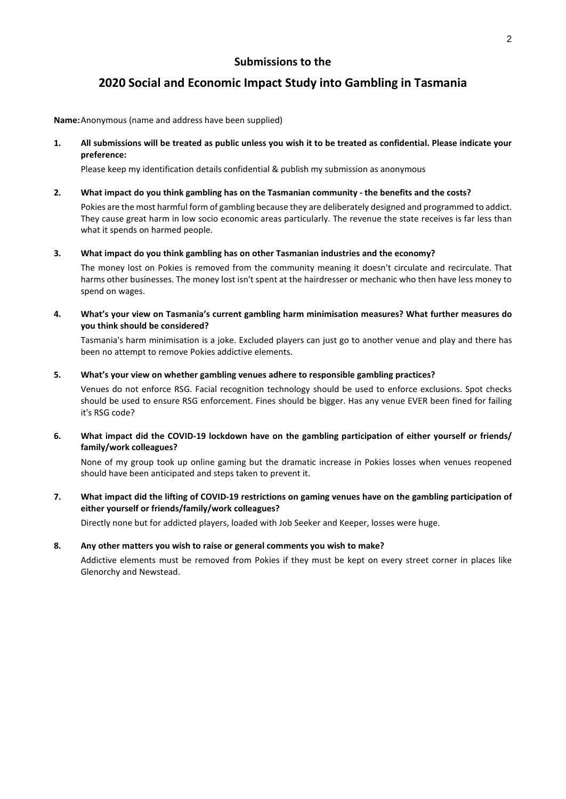# **2020 Social and Economic Impact Study into Gambling in Tasmania**

**Name:** Anonymous (name and address have been supplied)

**1. All submissions will be treated as public unless you wish it to be treated as confidential. Please indicate your preference:** 

Please keep my identification details confidential & publish my submission as anonymous

#### **2. What impact do you think gambling has on the Tasmanian community - the benefits and the costs?**

Pokies are the most harmful form of gambling because they are deliberately designed and programmed to addict. They cause great harm in low socio economic areas particularly. The revenue the state receives is far less than what it spends on harmed people.

#### **3. What impact do you think gambling has on other Tasmanian industries and the economy?**

The money lost on Pokies is removed from the community meaning it doesn't circulate and recirculate. That harms other businesses. The money lost isn't spent at the hairdresser or mechanic who then have less money to spend on wages.

**4. What's your view on Tasmania's current gambling harm minimisation measures? What further measures do you think should be considered?** 

Tasmania's harm minimisation is a joke. Excluded players can just go to another venue and play and there has been no attempt to remove Pokies addictive elements.

#### **5. What's your view on whether gambling venues adhere to responsible gambling practices?**

Venues do not enforce RSG. Facial recognition technology should be used to enforce exclusions. Spot checks should be used to ensure RSG enforcement. Fines should be bigger. Has any venue EVER been fined for failing it's RSG code?

**6. What impact did the COVID-19 lockdown have on the gambling participation of either yourself or friends/ family/work colleagues?** 

None of my group took up online gaming but the dramatic increase in Pokies losses when venues reopened should have been anticipated and steps taken to prevent it.

**7. What impact did the lifting of COVID-19 restrictions on gaming venues have on the gambling participation of either yourself or friends/family/work colleagues?** 

Directly none but for addicted players, loaded with Job Seeker and Keeper, losses were huge.

### **8. Any other matters you wish to raise or general comments you wish to make?**

Addictive elements must be removed from Pokies if they must be kept on every street corner in places like Glenorchy and Newstead.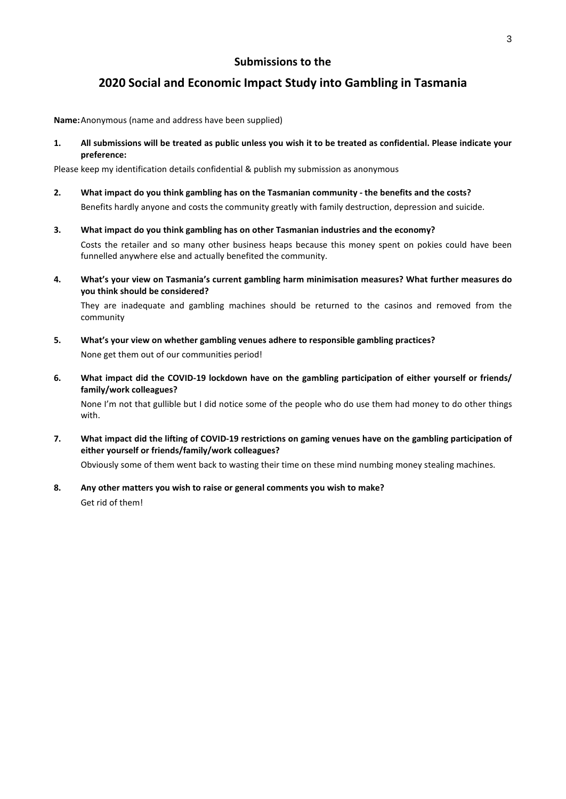# **2020 Social and Economic Impact Study into Gambling in Tasmania**

**Name:** Anonymous (name and address have been supplied)

**1. All submissions will be treated as public unless you wish it to be treated as confidential. Please indicate your preference:** 

Please keep my identification details confidential & publish my submission as anonymous

- **2. What impact do you think gambling has on the Tasmanian community the benefits and the costs?**  Benefits hardly anyone and costs the community greatly with family destruction, depression and suicide.
- **3. What impact do you think gambling has on other Tasmanian industries and the economy?**  Costs the retailer and so many other business heaps because this money spent on pokies could have been funnelled anywhere else and actually benefited the community.
- **4. What's your view on Tasmania's current gambling harm minimisation measures? What further measures do you think should be considered?**

They are inadequate and gambling machines should be returned to the casinos and removed from the community

- **5. What's your view on whether gambling venues adhere to responsible gambling practices?**  None get them out of our communities period!
- **6. What impact did the COVID-19 lockdown have on the gambling participation of either yourself or friends/ family/work colleagues?**

None I'm not that gullible but I did notice some of the people who do use them had money to do other things with.

**7. What impact did the lifting of COVID-19 restrictions on gaming venues have on the gambling participation of either yourself or friends/family/work colleagues?** 

Obviously some of them went back to wasting their time on these mind numbing money stealing machines.

**8. Any other matters you wish to raise or general comments you wish to make?**  Get rid of them!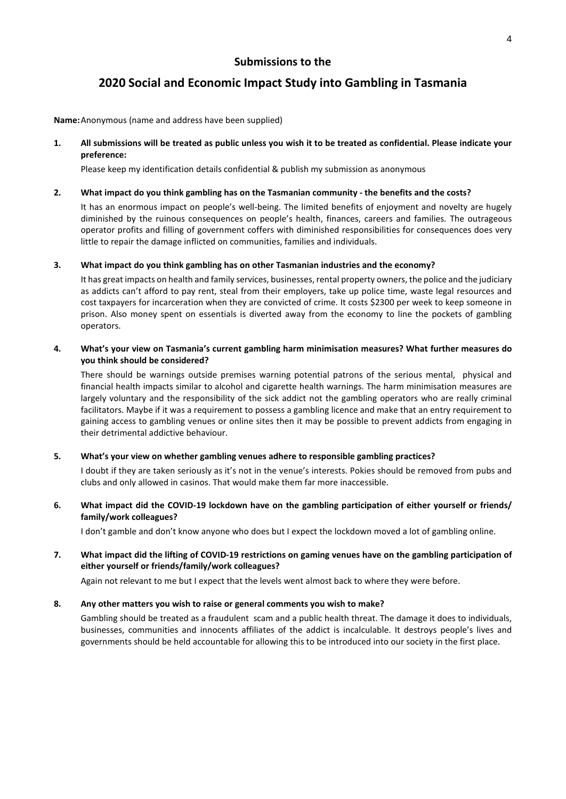# **2020 Social and Economic Impact Study into Gambling in Tasmania**

**Name:** Anonymous (name and address have been supplied)

### **1. All submissions will be treated as public unless you wish it to be treated as confidential. Please indicate your preference:**

Please keep my identification details confidential & publish my submission as anonymous

#### **2. What impact do you think gambling has on the Tasmanian community - the benefits and the costs?**

It has an enormous impact on people's well-being. The limited benefits of enjoyment and novelty are hugely diminished by the ruinous consequences on people's health, finances, careers and families. The outrageous operator profits and filling of government coffers with diminished responsibilities for consequences does very little to repair the damage inflicted on communities, families and individuals.

#### **3. What impact do you think gambling has on other Tasmanian industries and the economy?**

It has great impacts on health and family services, businesses, rental property owners, the police and the judiciary as addicts can't afford to pay rent, steal from their employers, take up police time, waste legal resources and cost taxpayers for incarceration when they are convicted of crime. It costs \$2300 per week to keep someone in prison. Also money spent on essentials is diverted away from the economy to line the pockets of gambling operators.

### **4. What's your view on Tasmania's current gambling harm minimisation measures? What further measures do you think should be considered?**

There should be warnings outside premises warning potential patrons of the serious mental, physical and financial health impacts similar to alcohol and cigarette health warnings. The harm minimisation measures are largely voluntary and the responsibility of the sick addict not the gambling operators who are really criminal facilitators. Maybe if it was a requirement to possess a gambling licence and make that an entry requirement to gaining access to gambling venues or online sites then it may be possible to prevent addicts from engaging in their detrimental addictive behaviour.

### **5. What's your view on whether gambling venues adhere to responsible gambling practices?**

I doubt if they are taken seriously as it's not in the venue's interests. Pokies should be removed from pubs and clubs and only allowed in casinos. That would make them far more inaccessible.

### **6. What impact did the COVID-19 lockdown have on the gambling participation of either yourself or friends/ family/work colleagues?**

I don't gamble and don't know anyone who does but I expect the lockdown moved a lot of gambling online.

### **7. What impact did the lifting of COVID-19 restrictions on gaming venues have on the gambling participation of either yourself or friends/family/work colleagues?**

Again not relevant to me but I expect that the levels went almost back to where they were before.

#### **8. Any other matters you wish to raise or general comments you wish to make?**

Gambling should be treated as a fraudulent scam and a public health threat. The damage it does to individuals, businesses, communities and innocents affiliates of the addict is incalculable. It destroys people's lives and governments should be held accountable for allowing this to be introduced into our society in the first place.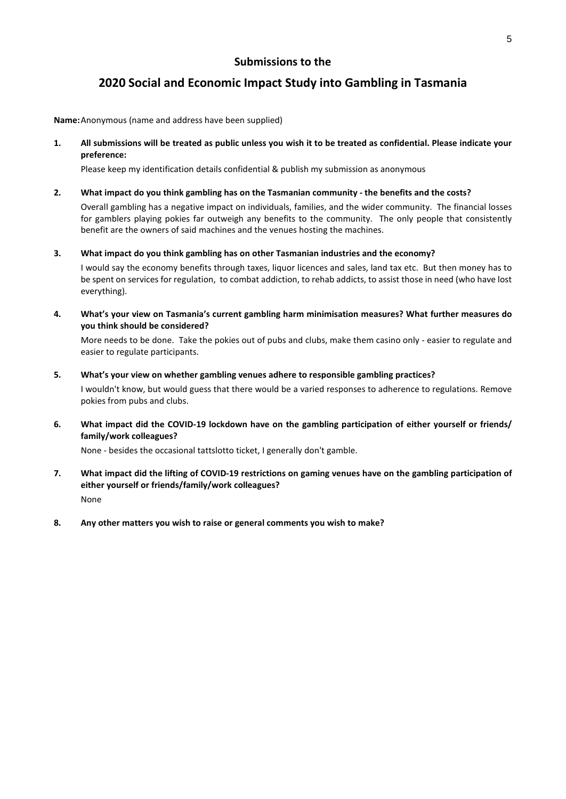# **2020 Social and Economic Impact Study into Gambling in Tasmania**

**Name:** Anonymous (name and address have been supplied)

**1. All submissions will be treated as public unless you wish it to be treated as confidential. Please indicate your preference:** 

Please keep my identification details confidential & publish my submission as anonymous

### **2. What impact do you think gambling has on the Tasmanian community - the benefits and the costs?**

Overall gambling has a negative impact on individuals, families, and the wider community. The financial losses for gamblers playing pokies far outweigh any benefits to the community. The only people that consistently benefit are the owners of said machines and the venues hosting the machines.

**3. What impact do you think gambling has on other Tasmanian industries and the economy?** 

I would say the economy benefits through taxes, liquor licences and sales, land tax etc. But then money has to be spent on services for regulation, to combat addiction, to rehab addicts, to assist those in need (who have lost everything).

**4. What's your view on Tasmania's current gambling harm minimisation measures? What further measures do you think should be considered?** 

More needs to be done. Take the pokies out of pubs and clubs, make them casino only - easier to regulate and easier to regulate participants.

**5. What's your view on whether gambling venues adhere to responsible gambling practices?** 

I wouldn't know, but would guess that there would be a varied responses to adherence to regulations. Remove pokies from pubs and clubs.

**6. What impact did the COVID-19 lockdown have on the gambling participation of either yourself or friends/ family/work colleagues?** 

None - besides the occasional tattslotto ticket, I generally don't gamble.

- **7. What impact did the lifting of COVID-19 restrictions on gaming venues have on the gambling participation of either yourself or friends/family/work colleagues?**  None
- **8. Any other matters you wish to raise or general comments you wish to make?**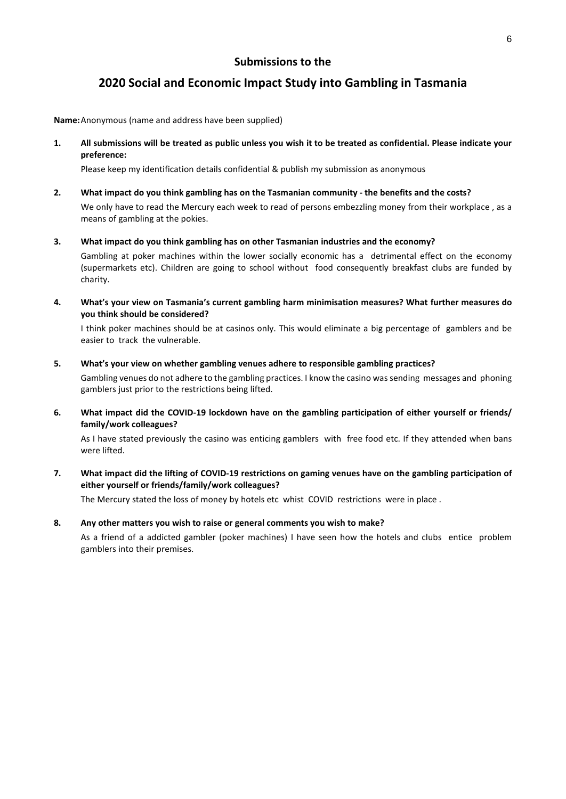# **2020 Social and Economic Impact Study into Gambling in Tasmania**

**Name:** Anonymous (name and address have been supplied)

**1. All submissions will be treated as public unless you wish it to be treated as confidential. Please indicate your preference:** 

Please keep my identification details confidential & publish my submission as anonymous

- **2. What impact do you think gambling has on the Tasmanian community the benefits and the costs?**  We only have to read the Mercury each week to read of persons embezzling money from their workplace , as a means of gambling at the pokies.
- **3. What impact do you think gambling has on other Tasmanian industries and the economy?**

Gambling at poker machines within the lower socially economic has a detrimental effect on the economy (supermarkets etc). Children are going to school without food consequently breakfast clubs are funded by charity.

**4. What's your view on Tasmania's current gambling harm minimisation measures? What further measures do you think should be considered?** 

I think poker machines should be at casinos only. This would eliminate a big percentage of gamblers and be easier to track the vulnerable.

**5. What's your view on whether gambling venues adhere to responsible gambling practices?** 

Gambling venues do not adhere to the gambling practices. I know the casino was sending messages and phoning gamblers just prior to the restrictions being lifted.

**6. What impact did the COVID-19 lockdown have on the gambling participation of either yourself or friends/ family/work colleagues?** 

As I have stated previously the casino was enticing gamblers with free food etc. If they attended when bans were lifted.

**7. What impact did the lifting of COVID-19 restrictions on gaming venues have on the gambling participation of either yourself or friends/family/work colleagues?** 

The Mercury stated the loss of money by hotels etc whist COVID restrictions were in place .

**8. Any other matters you wish to raise or general comments you wish to make?** 

As a friend of a addicted gambler (poker machines) I have seen how the hotels and clubs entice problem gamblers into their premises.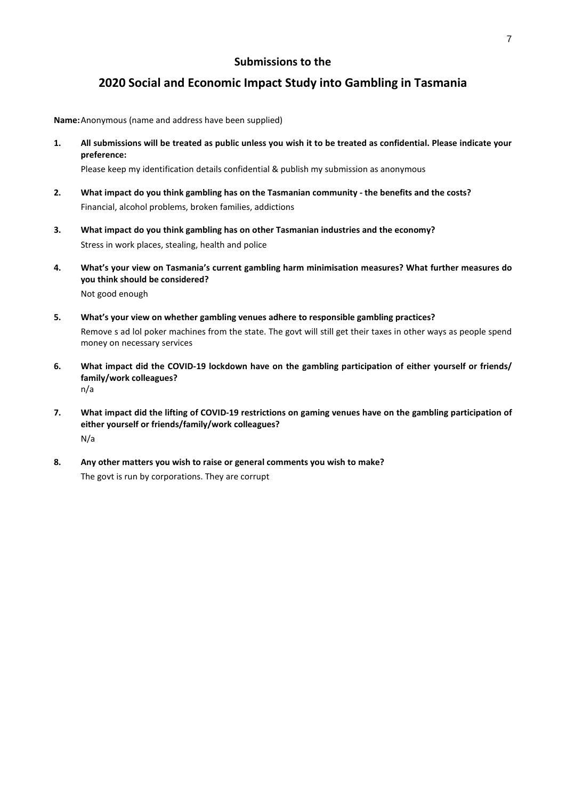# **2020 Social and Economic Impact Study into Gambling in Tasmania**

**Name:** Anonymous (name and address have been supplied)

**1. All submissions will be treated as public unless you wish it to be treated as confidential. Please indicate your preference:** 

Please keep my identification details confidential & publish my submission as anonymous

- **2. What impact do you think gambling has on the Tasmanian community the benefits and the costs?**  Financial, alcohol problems, broken families, addictions
- **3. What impact do you think gambling has on other Tasmanian industries and the economy?**  Stress in work places, stealing, health and police
- **4. What's your view on Tasmania's current gambling harm minimisation measures? What further measures do you think should be considered?**  Not good enough
- **5. What's your view on whether gambling venues adhere to responsible gambling practices?**  Remove s ad lol poker machines from the state. The govt will still get their taxes in other ways as people spend money on necessary services
- **6. What impact did the COVID-19 lockdown have on the gambling participation of either yourself or friends/ family/work colleagues?**  n/a
- **7. What impact did the lifting of COVID-19 restrictions on gaming venues have on the gambling participation of either yourself or friends/family/work colleagues?**  N/a
- **8. Any other matters you wish to raise or general comments you wish to make?**  The govt is run by corporations. They are corrupt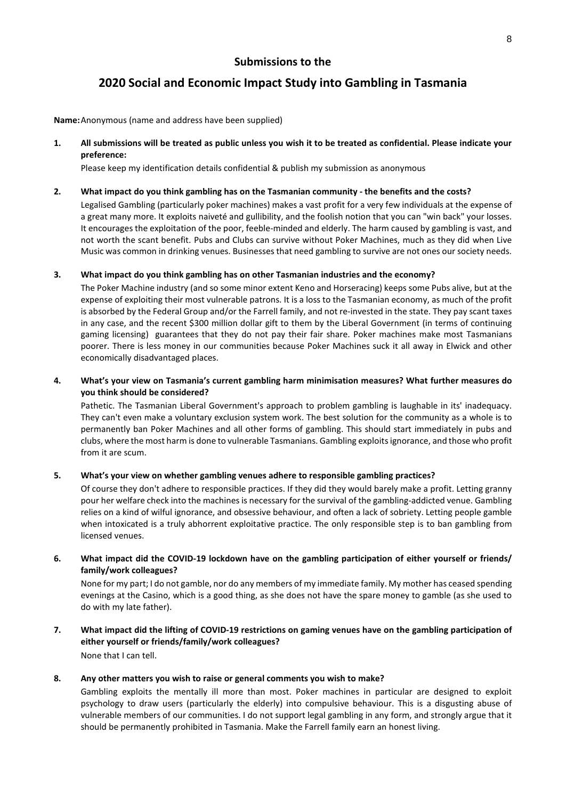# **2020 Social and Economic Impact Study into Gambling in Tasmania**

**Name:** Anonymous (name and address have been supplied)

**1. All submissions will be treated as public unless you wish it to be treated as confidential. Please indicate your preference:** 

Please keep my identification details confidential & publish my submission as anonymous

#### **2. What impact do you think gambling has on the Tasmanian community - the benefits and the costs?**

Legalised Gambling (particularly poker machines) makes a vast profit for a very few individuals at the expense of a great many more. It exploits naiveté and gullibility, and the foolish notion that you can "win back" your losses. It encourages the exploitation of the poor, feeble-minded and elderly. The harm caused by gambling is vast, and not worth the scant benefit. Pubs and Clubs can survive without Poker Machines, much as they did when Live Music was common in drinking venues. Businesses that need gambling to survive are not ones our society needs.

#### **3. What impact do you think gambling has on other Tasmanian industries and the economy?**

The Poker Machine industry (and so some minor extent Keno and Horseracing) keeps some Pubs alive, but at the expense of exploiting their most vulnerable patrons. It is a loss to the Tasmanian economy, as much of the profit is absorbed by the Federal Group and/or the Farrell family, and not re-invested in the state. They pay scant taxes in any case, and the recent \$300 million dollar gift to them by the Liberal Government (in terms of continuing gaming licensing) guarantees that they do not pay their fair share. Poker machines make most Tasmanians poorer. There is less money in our communities because Poker Machines suck it all away in Elwick and other economically disadvantaged places.

### **4. What's your view on Tasmania's current gambling harm minimisation measures? What further measures do you think should be considered?**

Pathetic. The Tasmanian Liberal Government's approach to problem gambling is laughable in its' inadequacy. They can't even make a voluntary exclusion system work. The best solution for the community as a whole is to permanently ban Poker Machines and all other forms of gambling. This should start immediately in pubs and clubs, where the most harm is done to vulnerable Tasmanians. Gambling exploits ignorance, and those who profit from it are scum.

### **5. What's your view on whether gambling venues adhere to responsible gambling practices?**

Of course they don't adhere to responsible practices. If they did they would barely make a profit. Letting granny pour her welfare check into the machines is necessary for the survival of the gambling-addicted venue. Gambling relies on a kind of wilful ignorance, and obsessive behaviour, and often a lack of sobriety. Letting people gamble when intoxicated is a truly abhorrent exploitative practice. The only responsible step is to ban gambling from licensed venues.

### **6. What impact did the COVID-19 lockdown have on the gambling participation of either yourself or friends/ family/work colleagues?**

None for my part; I do not gamble, nor do any members of my immediate family. My mother has ceased spending evenings at the Casino, which is a good thing, as she does not have the spare money to gamble (as she used to do with my late father).

**7. What impact did the lifting of COVID-19 restrictions on gaming venues have on the gambling participation of either yourself or friends/family/work colleagues?**  None that I can tell.

**8. Any other matters you wish to raise or general comments you wish to make?** 

Gambling exploits the mentally ill more than most. Poker machines in particular are designed to exploit psychology to draw users (particularly the elderly) into compulsive behaviour. This is a disgusting abuse of vulnerable members of our communities. I do not support legal gambling in any form, and strongly argue that it should be permanently prohibited in Tasmania. Make the Farrell family earn an honest living.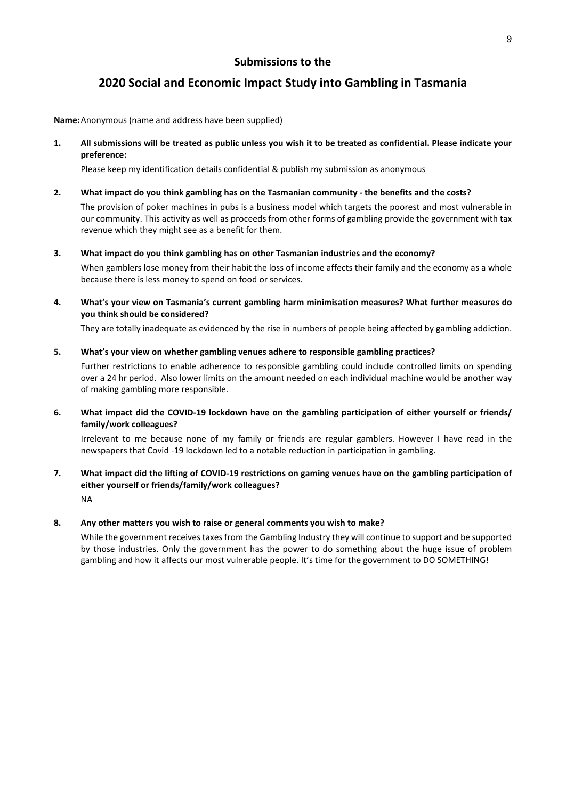# **2020 Social and Economic Impact Study into Gambling in Tasmania**

**Name:** Anonymous (name and address have been supplied)

**1. All submissions will be treated as public unless you wish it to be treated as confidential. Please indicate your preference:** 

Please keep my identification details confidential & publish my submission as anonymous

#### **2. What impact do you think gambling has on the Tasmanian community - the benefits and the costs?**

The provision of poker machines in pubs is a business model which targets the poorest and most vulnerable in our community. This activity as well as proceeds from other forms of gambling provide the government with tax revenue which they might see as a benefit for them.

#### **3. What impact do you think gambling has on other Tasmanian industries and the economy?**

When gamblers lose money from their habit the loss of income affects their family and the economy as a whole because there is less money to spend on food or services.

**4. What's your view on Tasmania's current gambling harm minimisation measures? What further measures do you think should be considered?** 

They are totally inadequate as evidenced by the rise in numbers of people being affected by gambling addiction.

#### **5. What's your view on whether gambling venues adhere to responsible gambling practices?**

Further restrictions to enable adherence to responsible gambling could include controlled limits on spending over a 24 hr period. Also lower limits on the amount needed on each individual machine would be another way of making gambling more responsible.

### **6. What impact did the COVID-19 lockdown have on the gambling participation of either yourself or friends/ family/work colleagues?**

Irrelevant to me because none of my family or friends are regular gamblers. However I have read in the newspapers that Covid -19 lockdown led to a notable reduction in participation in gambling.

## **7. What impact did the lifting of COVID-19 restrictions on gaming venues have on the gambling participation of either yourself or friends/family/work colleagues?**  NA

### **8. Any other matters you wish to raise or general comments you wish to make?**

While the government receives taxes from the Gambling Industry they will continue to support and be supported by those industries. Only the government has the power to do something about the huge issue of problem gambling and how it affects our most vulnerable people. It's time for the government to DO SOMETHING!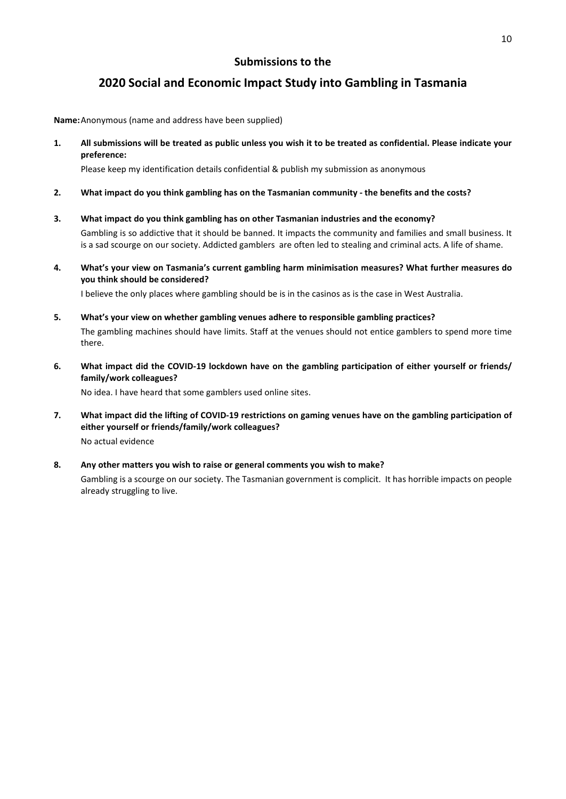# **2020 Social and Economic Impact Study into Gambling in Tasmania**

**Name:** Anonymous (name and address have been supplied)

**1. All submissions will be treated as public unless you wish it to be treated as confidential. Please indicate your preference:** 

Please keep my identification details confidential & publish my submission as anonymous

- **2. What impact do you think gambling has on the Tasmanian community the benefits and the costs?**
- **3. What impact do you think gambling has on other Tasmanian industries and the economy?**  Gambling is so addictive that it should be banned. It impacts the community and families and small business. It is a sad scourge on our society. Addicted gamblers are often led to stealing and criminal acts. A life of shame.
- **4. What's your view on Tasmania's current gambling harm minimisation measures? What further measures do you think should be considered?**

I believe the only places where gambling should be is in the casinos as is the case in West Australia.

- **5. What's your view on whether gambling venues adhere to responsible gambling practices?**  The gambling machines should have limits. Staff at the venues should not entice gamblers to spend more time there.
- **6. What impact did the COVID-19 lockdown have on the gambling participation of either yourself or friends/ family/work colleagues?**

No idea. I have heard that some gamblers used online sites.

- **7. What impact did the lifting of COVID-19 restrictions on gaming venues have on the gambling participation of either yourself or friends/family/work colleagues?**  No actual evidence
- **8. Any other matters you wish to raise or general comments you wish to make?**  Gambling is a scourge on our society. The Tasmanian government is complicit. It has horrible impacts on people already struggling to live.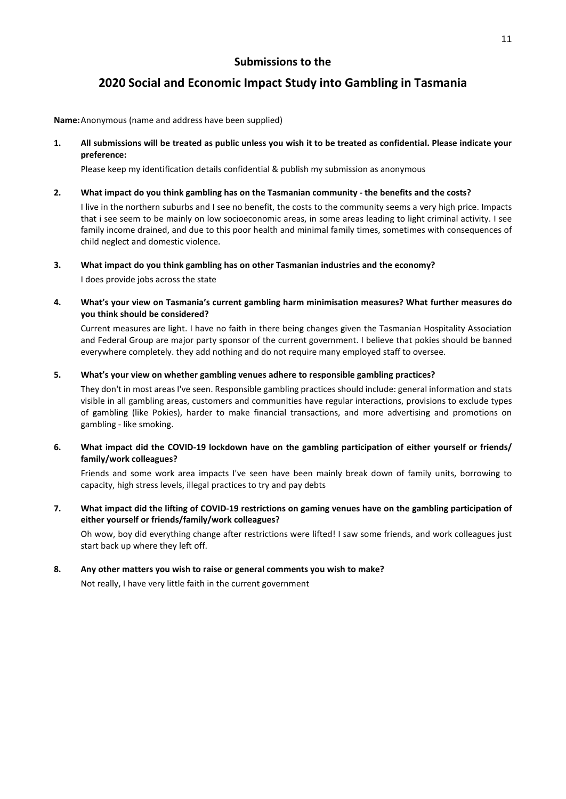# **2020 Social and Economic Impact Study into Gambling in Tasmania**

**Name:** Anonymous (name and address have been supplied)

**1. All submissions will be treated as public unless you wish it to be treated as confidential. Please indicate your preference:** 

Please keep my identification details confidential & publish my submission as anonymous

### **2. What impact do you think gambling has on the Tasmanian community - the benefits and the costs?**

I live in the northern suburbs and I see no benefit, the costs to the community seems a very high price. Impacts that i see seem to be mainly on low socioeconomic areas, in some areas leading to light criminal activity. I see family income drained, and due to this poor health and minimal family times, sometimes with consequences of child neglect and domestic violence.

### **3. What impact do you think gambling has on other Tasmanian industries and the economy?**

I does provide jobs across the state

**4. What's your view on Tasmania's current gambling harm minimisation measures? What further measures do you think should be considered?** 

Current measures are light. I have no faith in there being changes given the Tasmanian Hospitality Association and Federal Group are major party sponsor of the current government. I believe that pokies should be banned everywhere completely. they add nothing and do not require many employed staff to oversee.

### **5. What's your view on whether gambling venues adhere to responsible gambling practices?**

They don't in most areas I've seen. Responsible gambling practices should include: general information and stats visible in all gambling areas, customers and communities have regular interactions, provisions to exclude types of gambling (like Pokies), harder to make financial transactions, and more advertising and promotions on gambling - like smoking.

## **6. What impact did the COVID-19 lockdown have on the gambling participation of either yourself or friends/ family/work colleagues?**

Friends and some work area impacts I've seen have been mainly break down of family units, borrowing to capacity, high stress levels, illegal practices to try and pay debts

## **7. What impact did the lifting of COVID-19 restrictions on gaming venues have on the gambling participation of either yourself or friends/family/work colleagues?**

Oh wow, boy did everything change after restrictions were lifted! I saw some friends, and work colleagues just start back up where they left off.

### **8. Any other matters you wish to raise or general comments you wish to make?**

Not really, I have very little faith in the current government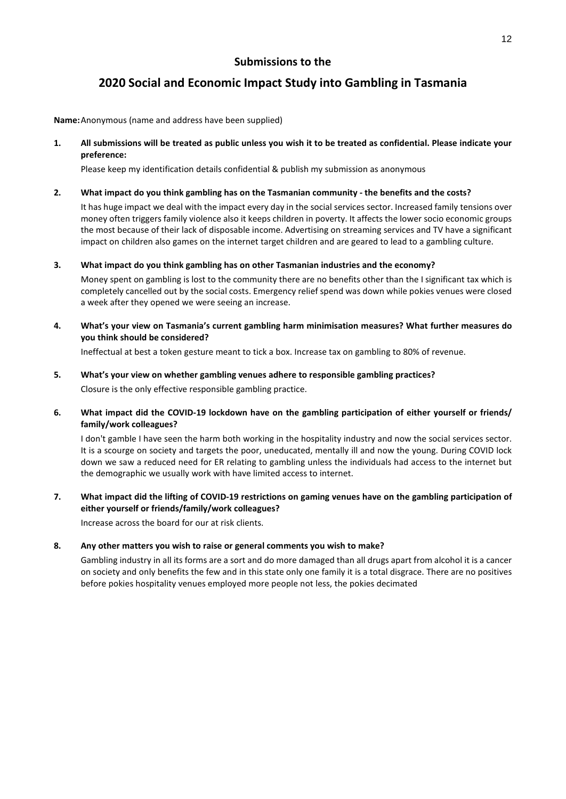# **2020 Social and Economic Impact Study into Gambling in Tasmania**

**Name:** Anonymous (name and address have been supplied)

**1. All submissions will be treated as public unless you wish it to be treated as confidential. Please indicate your preference:** 

Please keep my identification details confidential & publish my submission as anonymous

### **2. What impact do you think gambling has on the Tasmanian community - the benefits and the costs?**

It has huge impact we deal with the impact every day in the social services sector. Increased family tensions over money often triggers family violence also it keeps children in poverty. It affects the lower socio economic groups the most because of their lack of disposable income. Advertising on streaming services and TV have a significant impact on children also games on the internet target children and are geared to lead to a gambling culture.

**3. What impact do you think gambling has on other Tasmanian industries and the economy?** 

Money spent on gambling is lost to the community there are no benefits other than the I significant tax which is completely cancelled out by the social costs. Emergency relief spend was down while pokies venues were closed a week after they opened we were seeing an increase.

**4. What's your view on Tasmania's current gambling harm minimisation measures? What further measures do you think should be considered?** 

Ineffectual at best a token gesture meant to tick a box. Increase tax on gambling to 80% of revenue.

- **5. What's your view on whether gambling venues adhere to responsible gambling practices?**  Closure is the only effective responsible gambling practice.
- **6. What impact did the COVID-19 lockdown have on the gambling participation of either yourself or friends/ family/work colleagues?**

I don't gamble I have seen the harm both working in the hospitality industry and now the social services sector. It is a scourge on society and targets the poor, uneducated, mentally ill and now the young. During COVID lock down we saw a reduced need for ER relating to gambling unless the individuals had access to the internet but the demographic we usually work with have limited access to internet.

**7. What impact did the lifting of COVID-19 restrictions on gaming venues have on the gambling participation of either yourself or friends/family/work colleagues?** 

Increase across the board for our at risk clients.

### **8. Any other matters you wish to raise or general comments you wish to make?**

Gambling industry in all its forms are a sort and do more damaged than all drugs apart from alcohol it is a cancer on society and only benefits the few and in this state only one family it is a total disgrace. There are no positives before pokies hospitality venues employed more people not less, the pokies decimated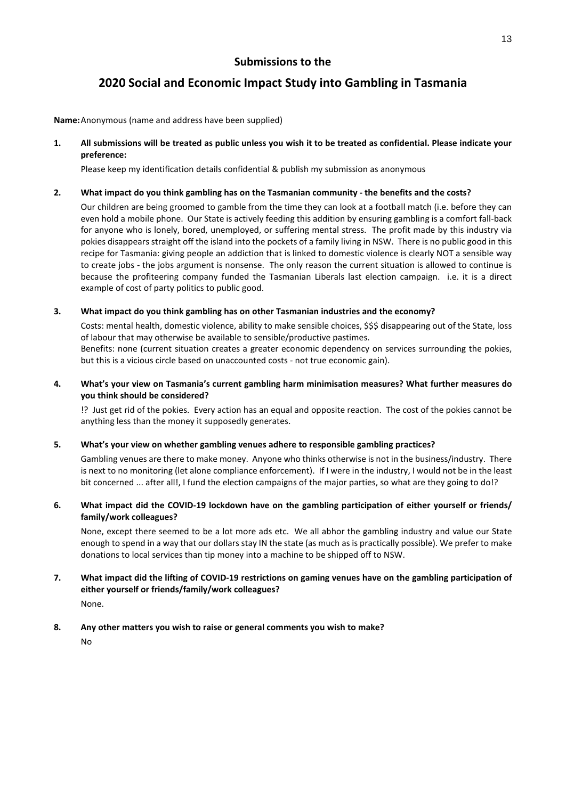# **2020 Social and Economic Impact Study into Gambling in Tasmania**

**Name:** Anonymous (name and address have been supplied)

**1. All submissions will be treated as public unless you wish it to be treated as confidential. Please indicate your preference:** 

Please keep my identification details confidential & publish my submission as anonymous

### **2. What impact do you think gambling has on the Tasmanian community - the benefits and the costs?**

Our children are being groomed to gamble from the time they can look at a football match (i.e. before they can even hold a mobile phone. Our State is actively feeding this addition by ensuring gambling is a comfort fall-back for anyone who is lonely, bored, unemployed, or suffering mental stress. The profit made by this industry via pokies disappears straight off the island into the pockets of a family living in NSW. There is no public good in this recipe for Tasmania: giving people an addiction that is linked to domestic violence is clearly NOT a sensible way to create jobs - the jobs argument is nonsense. The only reason the current situation is allowed to continue is because the profiteering company funded the Tasmanian Liberals last election campaign. i.e. it is a direct example of cost of party politics to public good.

### **3. What impact do you think gambling has on other Tasmanian industries and the economy?**

Costs: mental health, domestic violence, ability to make sensible choices, \$\$\$ disappearing out of the State, loss of labour that may otherwise be available to sensible/productive pastimes. Benefits: none (current situation creates a greater economic dependency on services surrounding the pokies, but this is a vicious circle based on unaccounted costs - not true economic gain).

**4. What's your view on Tasmania's current gambling harm minimisation measures? What further measures do you think should be considered?** 

!? Just get rid of the pokies. Every action has an equal and opposite reaction. The cost of the pokies cannot be anything less than the money it supposedly generates.

## **5. What's your view on whether gambling venues adhere to responsible gambling practices?**

Gambling venues are there to make money. Anyone who thinks otherwise is not in the business/industry. There is next to no monitoring (let alone compliance enforcement). If I were in the industry, I would not be in the least bit concerned ... after all!, I fund the election campaigns of the major parties, so what are they going to do!?

## **6. What impact did the COVID-19 lockdown have on the gambling participation of either yourself or friends/ family/work colleagues?**

None, except there seemed to be a lot more ads etc. We all abhor the gambling industry and value our State enough to spend in a way that our dollars stay IN the state (as much as is practically possible). We prefer to make donations to local services than tip money into a machine to be shipped off to NSW.

# **7. What impact did the lifting of COVID-19 restrictions on gaming venues have on the gambling participation of either yourself or friends/family/work colleagues?**

None.

## **8. Any other matters you wish to raise or general comments you wish to make?**

No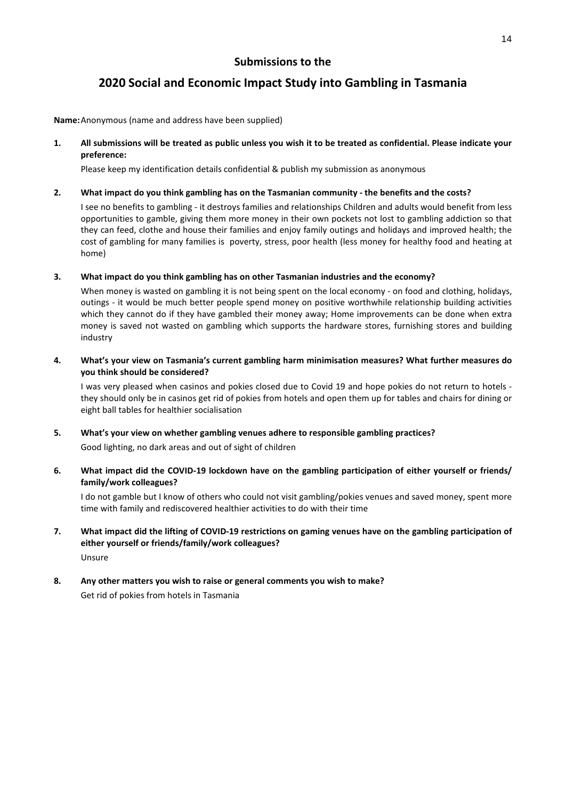# **2020 Social and Economic Impact Study into Gambling in Tasmania**

**Name:** Anonymous (name and address have been supplied)

**1. All submissions will be treated as public unless you wish it to be treated as confidential. Please indicate your preference:** 

Please keep my identification details confidential & publish my submission as anonymous

### **2. What impact do you think gambling has on the Tasmanian community - the benefits and the costs?**

I see no benefits to gambling - it destroys families and relationships Children and adults would benefit from less opportunities to gamble, giving them more money in their own pockets not lost to gambling addiction so that they can feed, clothe and house their families and enjoy family outings and holidays and improved health; the cost of gambling for many families is poverty, stress, poor health (less money for healthy food and heating at home)

### **3. What impact do you think gambling has on other Tasmanian industries and the economy?**

When money is wasted on gambling it is not being spent on the local economy - on food and clothing, holidays, outings - it would be much better people spend money on positive worthwhile relationship building activities which they cannot do if they have gambled their money away; Home improvements can be done when extra money is saved not wasted on gambling which supports the hardware stores, furnishing stores and building industry

### **4. What's your view on Tasmania's current gambling harm minimisation measures? What further measures do you think should be considered?**

I was very pleased when casinos and pokies closed due to Covid 19 and hope pokies do not return to hotels they should only be in casinos get rid of pokies from hotels and open them up for tables and chairs for dining or eight ball tables for healthier socialisation

### **5. What's your view on whether gambling venues adhere to responsible gambling practices?**

Good lighting, no dark areas and out of sight of children

### **6. What impact did the COVID-19 lockdown have on the gambling participation of either yourself or friends/ family/work colleagues?**

I do not gamble but I know of others who could not visit gambling/pokies venues and saved money, spent more time with family and rediscovered healthier activities to do with their time

### **7. What impact did the lifting of COVID-19 restrictions on gaming venues have on the gambling participation of either yourself or friends/family/work colleagues?**  Unsure

# **8. Any other matters you wish to raise or general comments you wish to make?**

Get rid of pokies from hotels in Tasmania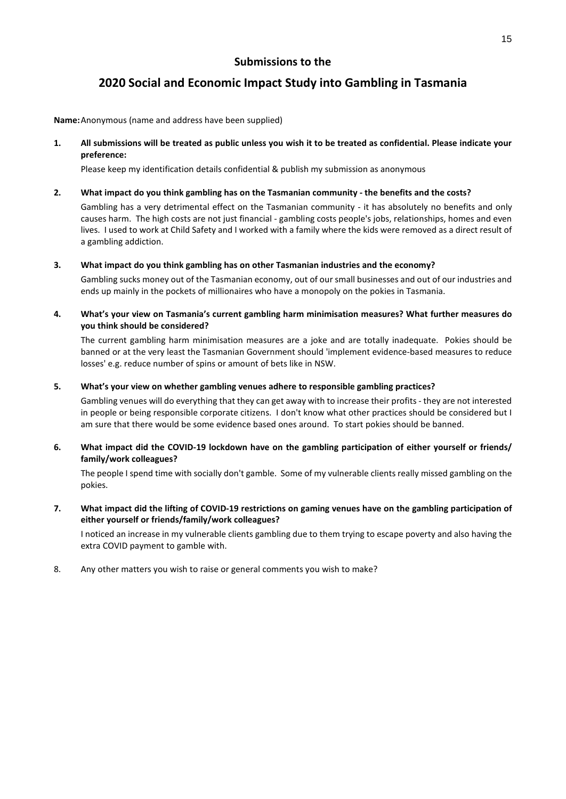# **2020 Social and Economic Impact Study into Gambling in Tasmania**

**Name:** Anonymous (name and address have been supplied)

**1. All submissions will be treated as public unless you wish it to be treated as confidential. Please indicate your preference:** 

Please keep my identification details confidential & publish my submission as anonymous

### **2. What impact do you think gambling has on the Tasmanian community - the benefits and the costs?**

Gambling has a very detrimental effect on the Tasmanian community - it has absolutely no benefits and only causes harm. The high costs are not just financial - gambling costs people's jobs, relationships, homes and even lives. I used to work at Child Safety and I worked with a family where the kids were removed as a direct result of a gambling addiction.

### **3. What impact do you think gambling has on other Tasmanian industries and the economy?**

Gambling sucks money out of the Tasmanian economy, out of our small businesses and out of our industries and ends up mainly in the pockets of millionaires who have a monopoly on the pokies in Tasmania.

**4. What's your view on Tasmania's current gambling harm minimisation measures? What further measures do you think should be considered?** 

The current gambling harm minimisation measures are a joke and are totally inadequate. Pokies should be banned or at the very least the Tasmanian Government should 'implement evidence-based measures to reduce losses' e.g. reduce number of spins or amount of bets like in NSW.

### **5. What's your view on whether gambling venues adhere to responsible gambling practices?**

Gambling venues will do everything that they can get away with to increase their profits - they are not interested in people or being responsible corporate citizens. I don't know what other practices should be considered but I am sure that there would be some evidence based ones around. To start pokies should be banned.

### **6. What impact did the COVID-19 lockdown have on the gambling participation of either yourself or friends/ family/work colleagues?**

The people I spend time with socially don't gamble. Some of my vulnerable clients really missed gambling on the pokies.

## **7. What impact did the lifting of COVID-19 restrictions on gaming venues have on the gambling participation of either yourself or friends/family/work colleagues?**

I noticed an increase in my vulnerable clients gambling due to them trying to escape poverty and also having the extra COVID payment to gamble with.

8. Any other matters you wish to raise or general comments you wish to make?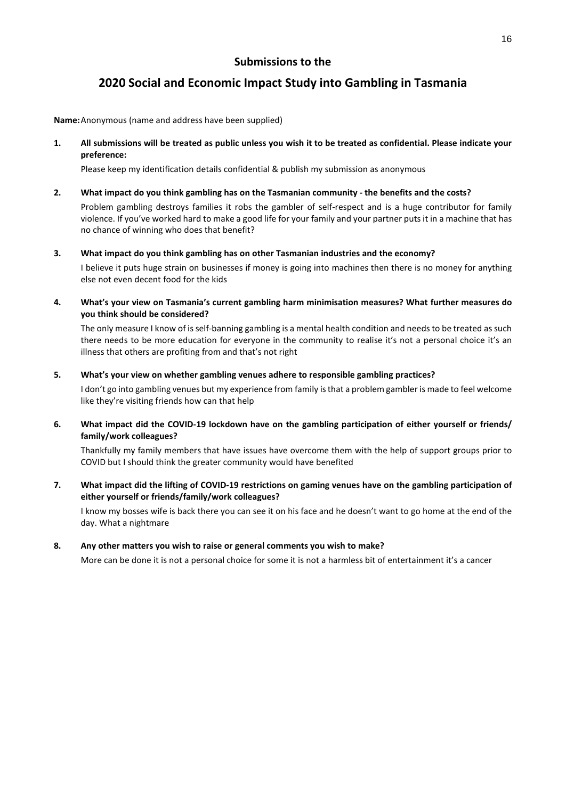# **2020 Social and Economic Impact Study into Gambling in Tasmania**

**Name:** Anonymous (name and address have been supplied)

**1. All submissions will be treated as public unless you wish it to be treated as confidential. Please indicate your preference:** 

Please keep my identification details confidential & publish my submission as anonymous

### **2. What impact do you think gambling has on the Tasmanian community - the benefits and the costs?**

Problem gambling destroys families it robs the gambler of self-respect and is a huge contributor for family violence. If you've worked hard to make a good life for your family and your partner puts it in a machine that has no chance of winning who does that benefit?

#### **3. What impact do you think gambling has on other Tasmanian industries and the economy?**

I believe it puts huge strain on businesses if money is going into machines then there is no money for anything else not even decent food for the kids

**4. What's your view on Tasmania's current gambling harm minimisation measures? What further measures do you think should be considered?** 

The only measure I know of is self-banning gambling is a mental health condition and needs to be treated as such there needs to be more education for everyone in the community to realise it's not a personal choice it's an illness that others are profiting from and that's not right

#### **5. What's your view on whether gambling venues adhere to responsible gambling practices?**

I don't go into gambling venues but my experience from family is that a problem gambler is made to feel welcome like they're visiting friends how can that help

### **6. What impact did the COVID-19 lockdown have on the gambling participation of either yourself or friends/ family/work colleagues?**

Thankfully my family members that have issues have overcome them with the help of support groups prior to COVID but I should think the greater community would have benefited

**7. What impact did the lifting of COVID-19 restrictions on gaming venues have on the gambling participation of either yourself or friends/family/work colleagues?** 

I know my bosses wife is back there you can see it on his face and he doesn't want to go home at the end of the day. What a nightmare

### **8. Any other matters you wish to raise or general comments you wish to make?**

More can be done it is not a personal choice for some it is not a harmless bit of entertainment it's a cancer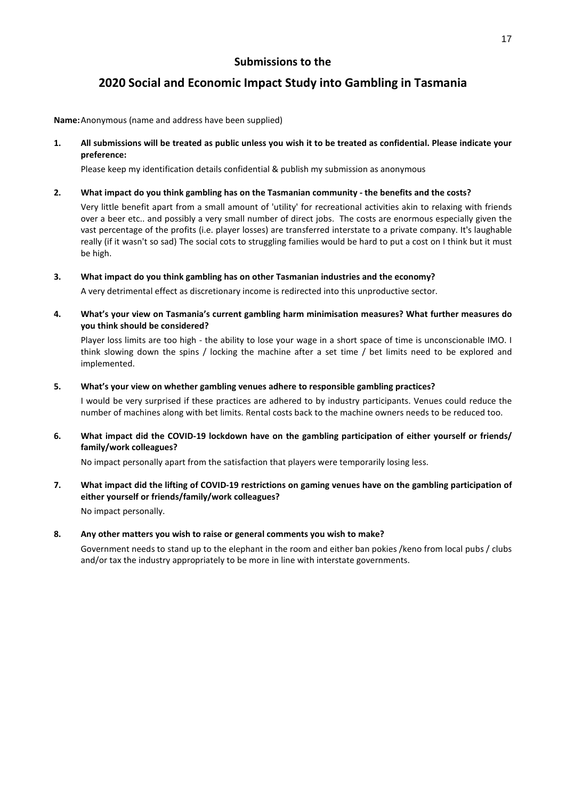# **2020 Social and Economic Impact Study into Gambling in Tasmania**

**Name:** Anonymous (name and address have been supplied)

**1. All submissions will be treated as public unless you wish it to be treated as confidential. Please indicate your preference:** 

Please keep my identification details confidential & publish my submission as anonymous

### **2. What impact do you think gambling has on the Tasmanian community - the benefits and the costs?**

Very little benefit apart from a small amount of 'utility' for recreational activities akin to relaxing with friends over a beer etc.. and possibly a very small number of direct jobs. The costs are enormous especially given the vast percentage of the profits (i.e. player losses) are transferred interstate to a private company. It's laughable really (if it wasn't so sad) The social cots to struggling families would be hard to put a cost on I think but it must be high.

**3. What impact do you think gambling has on other Tasmanian industries and the economy?** 

A very detrimental effect as discretionary income is redirected into this unproductive sector.

**4. What's your view on Tasmania's current gambling harm minimisation measures? What further measures do you think should be considered?** 

Player loss limits are too high - the ability to lose your wage in a short space of time is unconscionable IMO. I think slowing down the spins / locking the machine after a set time / bet limits need to be explored and implemented.

**5. What's your view on whether gambling venues adhere to responsible gambling practices?** 

I would be very surprised if these practices are adhered to by industry participants. Venues could reduce the number of machines along with bet limits. Rental costs back to the machine owners needs to be reduced too.

**6. What impact did the COVID-19 lockdown have on the gambling participation of either yourself or friends/ family/work colleagues?** 

No impact personally apart from the satisfaction that players were temporarily losing less.

**7. What impact did the lifting of COVID-19 restrictions on gaming venues have on the gambling participation of either yourself or friends/family/work colleagues?**  No impact personally.

## **8. Any other matters you wish to raise or general comments you wish to make?**

Government needs to stand up to the elephant in the room and either ban pokies /keno from local pubs / clubs and/or tax the industry appropriately to be more in line with interstate governments.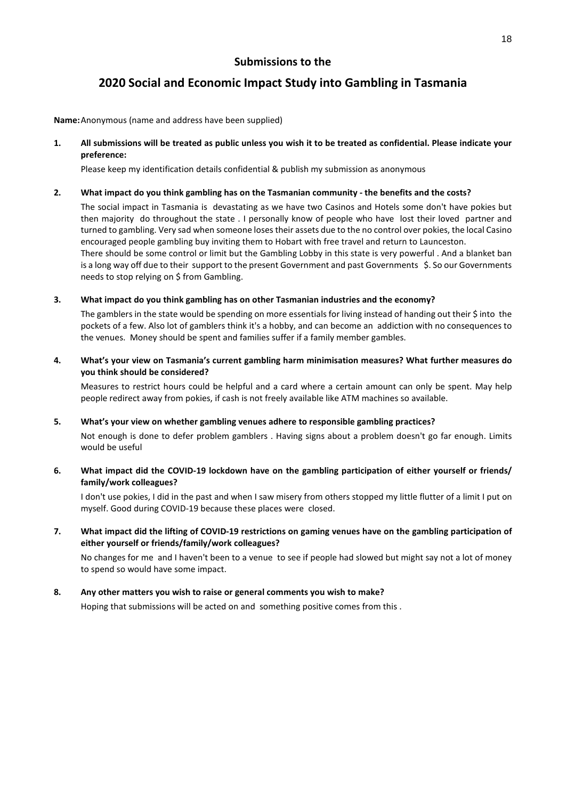# **2020 Social and Economic Impact Study into Gambling in Tasmania**

**Name:** Anonymous (name and address have been supplied)

**1. All submissions will be treated as public unless you wish it to be treated as confidential. Please indicate your preference:** 

Please keep my identification details confidential & publish my submission as anonymous

### **2. What impact do you think gambling has on the Tasmanian community - the benefits and the costs?**

The social impact in Tasmania is devastating as we have two Casinos and Hotels some don't have pokies but then majority do throughout the state . I personally know of people who have lost their loved partner and turned to gambling. Very sad when someone loses their assets due to the no control over pokies, the local Casino encouraged people gambling buy inviting them to Hobart with free travel and return to Launceston. There should be some control or limit but the Gambling Lobby in this state is very powerful . And a blanket ban is a long way off due to their support to the present Government and past Governments \$. So our Governments needs to stop relying on \$ from Gambling.

### **3. What impact do you think gambling has on other Tasmanian industries and the economy?**

The gamblers in the state would be spending on more essentials for living instead of handing out their \$ into the pockets of a few. Also lot of gamblers think it's a hobby, and can become an addiction with no consequences to the venues. Money should be spent and families suffer if a family member gambles.

### **4. What's your view on Tasmania's current gambling harm minimisation measures? What further measures do you think should be considered?**

Measures to restrict hours could be helpful and a card where a certain amount can only be spent. May help people redirect away from pokies, if cash is not freely available like ATM machines so available.

### **5. What's your view on whether gambling venues adhere to responsible gambling practices?**

Not enough is done to defer problem gamblers . Having signs about a problem doesn't go far enough. Limits would be useful

## **6. What impact did the COVID-19 lockdown have on the gambling participation of either yourself or friends/ family/work colleagues?**

I don't use pokies, I did in the past and when I saw misery from others stopped my little flutter of a limit I put on myself. Good during COVID-19 because these places were closed.

## **7. What impact did the lifting of COVID-19 restrictions on gaming venues have on the gambling participation of either yourself or friends/family/work colleagues?**

No changes for me and I haven't been to a venue to see if people had slowed but might say not a lot of money to spend so would have some impact.

## **8. Any other matters you wish to raise or general comments you wish to make?**

Hoping that submissions will be acted on and something positive comes from this .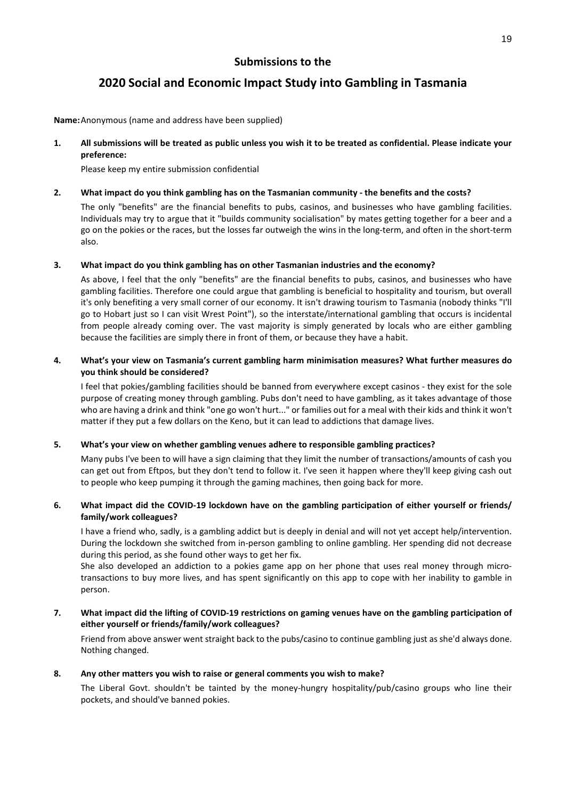# **2020 Social and Economic Impact Study into Gambling in Tasmania**

**Name:** Anonymous (name and address have been supplied)

**1. All submissions will be treated as public unless you wish it to be treated as confidential. Please indicate your preference:** 

Please keep my entire submission confidential

#### **2. What impact do you think gambling has on the Tasmanian community - the benefits and the costs?**

The only "benefits" are the financial benefits to pubs, casinos, and businesses who have gambling facilities. Individuals may try to argue that it "builds community socialisation" by mates getting together for a beer and a go on the pokies or the races, but the losses far outweigh the wins in the long-term, and often in the short-term also.

#### **3. What impact do you think gambling has on other Tasmanian industries and the economy?**

As above, I feel that the only "benefits" are the financial benefits to pubs, casinos, and businesses who have gambling facilities. Therefore one could argue that gambling is beneficial to hospitality and tourism, but overall it's only benefiting a very small corner of our economy. It isn't drawing tourism to Tasmania (nobody thinks "I'll go to Hobart just so I can visit Wrest Point"), so the interstate/international gambling that occurs is incidental from people already coming over. The vast majority is simply generated by locals who are either gambling because the facilities are simply there in front of them, or because they have a habit.

### **4. What's your view on Tasmania's current gambling harm minimisation measures? What further measures do you think should be considered?**

I feel that pokies/gambling facilities should be banned from everywhere except casinos - they exist for the sole purpose of creating money through gambling. Pubs don't need to have gambling, as it takes advantage of those who are having a drink and think "one go won't hurt..." or families out for a meal with their kids and think it won't matter if they put a few dollars on the Keno, but it can lead to addictions that damage lives.

### **5. What's your view on whether gambling venues adhere to responsible gambling practices?**

Many pubs I've been to will have a sign claiming that they limit the number of transactions/amounts of cash you can get out from Eftpos, but they don't tend to follow it. I've seen it happen where they'll keep giving cash out to people who keep pumping it through the gaming machines, then going back for more.

### **6. What impact did the COVID-19 lockdown have on the gambling participation of either yourself or friends/ family/work colleagues?**

I have a friend who, sadly, is a gambling addict but is deeply in denial and will not yet accept help/intervention. During the lockdown she switched from in-person gambling to online gambling. Her spending did not decrease during this period, as she found other ways to get her fix.

She also developed an addiction to a pokies game app on her phone that uses real money through microtransactions to buy more lives, and has spent significantly on this app to cope with her inability to gamble in person.

### **7. What impact did the lifting of COVID-19 restrictions on gaming venues have on the gambling participation of either yourself or friends/family/work colleagues?**

Friend from above answer went straight back to the pubs/casino to continue gambling just as she'd always done. Nothing changed.

### **8. Any other matters you wish to raise or general comments you wish to make?**

The Liberal Govt. shouldn't be tainted by the money-hungry hospitality/pub/casino groups who line their pockets, and should've banned pokies.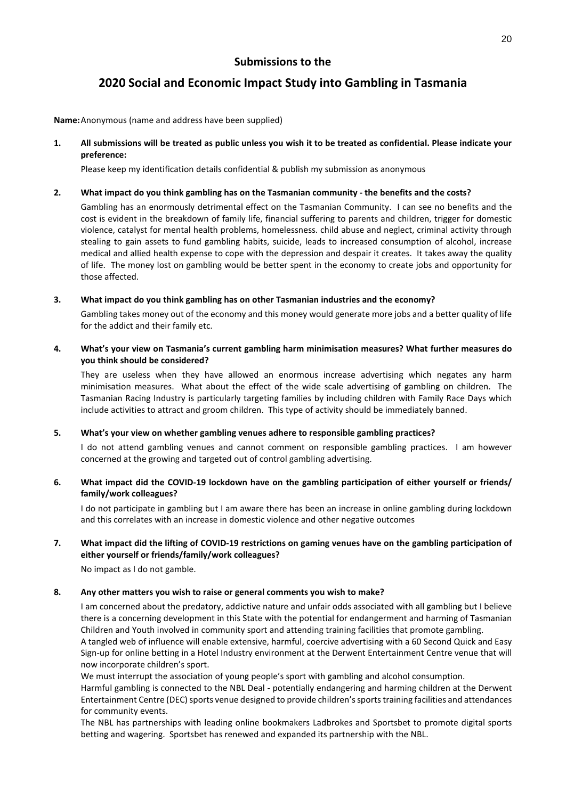# **2020 Social and Economic Impact Study into Gambling in Tasmania**

**Name:** Anonymous (name and address have been supplied)

**1. All submissions will be treated as public unless you wish it to be treated as confidential. Please indicate your preference:** 

Please keep my identification details confidential & publish my submission as anonymous

### **2. What impact do you think gambling has on the Tasmanian community - the benefits and the costs?**

Gambling has an enormously detrimental effect on the Tasmanian Community. I can see no benefits and the cost is evident in the breakdown of family life, financial suffering to parents and children, trigger for domestic violence, catalyst for mental health problems, homelessness. child abuse and neglect, criminal activity through stealing to gain assets to fund gambling habits, suicide, leads to increased consumption of alcohol, increase medical and allied health expense to cope with the depression and despair it creates. It takes away the quality of life. The money lost on gambling would be better spent in the economy to create jobs and opportunity for those affected.

#### **3. What impact do you think gambling has on other Tasmanian industries and the economy?**

Gambling takes money out of the economy and this money would generate more jobs and a better quality of life for the addict and their family etc.

**4. What's your view on Tasmania's current gambling harm minimisation measures? What further measures do you think should be considered?** 

They are useless when they have allowed an enormous increase advertising which negates any harm minimisation measures. What about the effect of the wide scale advertising of gambling on children. The Tasmanian Racing Industry is particularly targeting families by including children with Family Race Days which include activities to attract and groom children. This type of activity should be immediately banned.

### **5. What's your view on whether gambling venues adhere to responsible gambling practices?**

I do not attend gambling venues and cannot comment on responsible gambling practices. I am however concerned at the growing and targeted out of control gambling advertising.

**6. What impact did the COVID-19 lockdown have on the gambling participation of either yourself or friends/ family/work colleagues?** 

I do not participate in gambling but I am aware there has been an increase in online gambling during lockdown and this correlates with an increase in domestic violence and other negative outcomes

### **7. What impact did the lifting of COVID-19 restrictions on gaming venues have on the gambling participation of either yourself or friends/family/work colleagues?**

No impact as I do not gamble.

## **8. Any other matters you wish to raise or general comments you wish to make?**

I am concerned about the predatory, addictive nature and unfair odds associated with all gambling but I believe there is a concerning development in this State with the potential for endangerment and harming of Tasmanian Children and Youth involved in community sport and attending training facilities that promote gambling. A tangled web of influence will enable extensive, harmful, coercive advertising with a 60 Second Quick and Easy Sign-up for online betting in a Hotel Industry environment at the Derwent Entertainment Centre venue that will now incorporate children's sport.

We must interrupt the association of young people's sport with gambling and alcohol consumption.

Harmful gambling is connected to the NBL Deal - potentially endangering and harming children at the Derwent Entertainment Centre (DEC) sports venue designed to provide children's sports training facilities and attendances for community events.

The NBL has partnerships with leading online bookmakers Ladbrokes and Sportsbet to promote digital sports betting and wagering. Sportsbet has renewed and expanded its partnership with the NBL.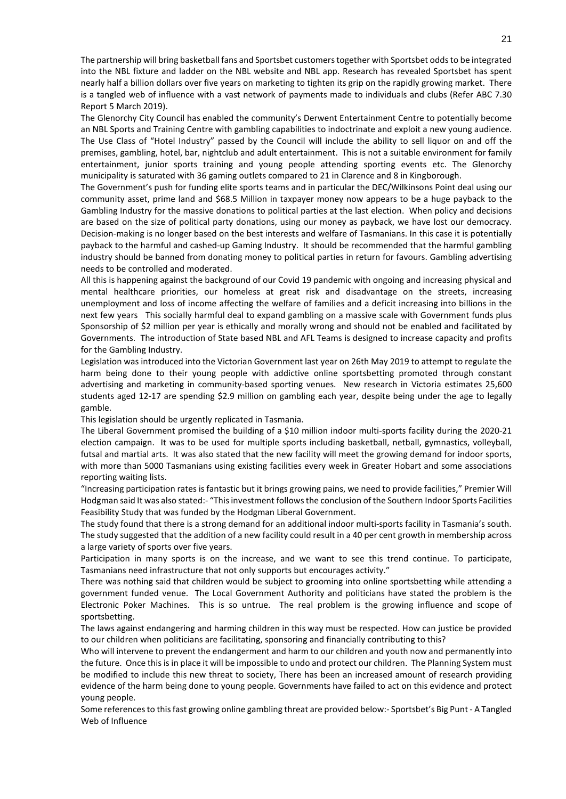The partnership will bring basketball fans and Sportsbet customers together with Sportsbet odds to be integrated into the NBL fixture and ladder on the NBL website and NBL app. Research has revealed Sportsbet has spent nearly half a billion dollars over five years on marketing to tighten its grip on the rapidly growing market. There is a tangled web of influence with a vast network of payments made to individuals and clubs (Refer ABC 7.30 Report 5 March 2019).

The Glenorchy City Council has enabled the community's Derwent Entertainment Centre to potentially become an NBL Sports and Training Centre with gambling capabilities to indoctrinate and exploit a new young audience. The Use Class of "Hotel Industry" passed by the Council will include the ability to sell liquor on and off the premises, gambling, hotel, bar, nightclub and adult entertainment. This is not a suitable environment for family entertainment, junior sports training and young people attending sporting events etc. The Glenorchy municipality is saturated with 36 gaming outlets compared to 21 in Clarence and 8 in Kingborough.

The Government's push for funding elite sports teams and in particular the DEC/Wilkinsons Point deal using our community asset, prime land and \$68.5 Million in taxpayer money now appears to be a huge payback to the Gambling Industry for the massive donations to political parties at the last election. When policy and decisions are based on the size of political party donations, using our money as payback, we have lost our democracy. Decision-making is no longer based on the best interests and welfare of Tasmanians. In this case it is potentially payback to the harmful and cashed-up Gaming Industry. It should be recommended that the harmful gambling industry should be banned from donating money to political parties in return for favours. Gambling advertising needs to be controlled and moderated.

All this is happening against the background of our Covid 19 pandemic with ongoing and increasing physical and mental healthcare priorities, our homeless at great risk and disadvantage on the streets, increasing unemployment and loss of income affecting the welfare of families and a deficit increasing into billions in the next few years This socially harmful deal to expand gambling on a massive scale with Government funds plus Sponsorship of \$2 million per year is ethically and morally wrong and should not be enabled and facilitated by Governments. The introduction of State based NBL and AFL Teams is designed to increase capacity and profits for the Gambling Industry.

Legislation was introduced into the Victorian Government last year on 26th May 2019 to attempt to regulate the harm being done to their young people with addictive online sportsbetting promoted through constant advertising and marketing in community-based sporting venues. New research in Victoria estimates 25,600 students aged 12-17 are spending \$2.9 million on gambling each year, despite being under the age to legally gamble.

This legislation should be urgently replicated in Tasmania.

The Liberal Government promised the building of a \$10 million indoor multi-sports facility during the 2020-21 election campaign. It was to be used for multiple sports including basketball, netball, gymnastics, volleyball, futsal and martial arts. It was also stated that the new facility will meet the growing demand for indoor sports, with more than 5000 Tasmanians using existing facilities every week in Greater Hobart and some associations reporting waiting lists.

"Increasing participation rates is fantastic but it brings growing pains, we need to provide facilities," Premier Will Hodgman said It was also stated:- "This investment follows the conclusion of the Southern Indoor Sports Facilities Feasibility Study that was funded by the Hodgman Liberal Government.

The study found that there is a strong demand for an additional indoor multi-sports facility in Tasmania's south. The study suggested that the addition of a new facility could result in a 40 per cent growth in membership across a large variety of sports over five years.

Participation in many sports is on the increase, and we want to see this trend continue. To participate, Tasmanians need infrastructure that not only supports but encourages activity."

There was nothing said that children would be subject to grooming into online sportsbetting while attending a government funded venue. The Local Government Authority and politicians have stated the problem is the Electronic Poker Machines. This is so untrue. The real problem is the growing influence and scope of sportsbetting.

The laws against endangering and harming children in this way must be respected. How can justice be provided to our children when politicians are facilitating, sponsoring and financially contributing to this?

Who will intervene to prevent the endangerment and harm to our children and youth now and permanently into the future. Once this is in place it will be impossible to undo and protect our children. The Planning System must be modified to include this new threat to society, There has been an increased amount of research providing evidence of the harm being done to young people. Governments have failed to act on this evidence and protect young people.

Some references to this fast growing online gambling threat are provided below:- Sportsbet's Big Punt - A Tangled Web of Influence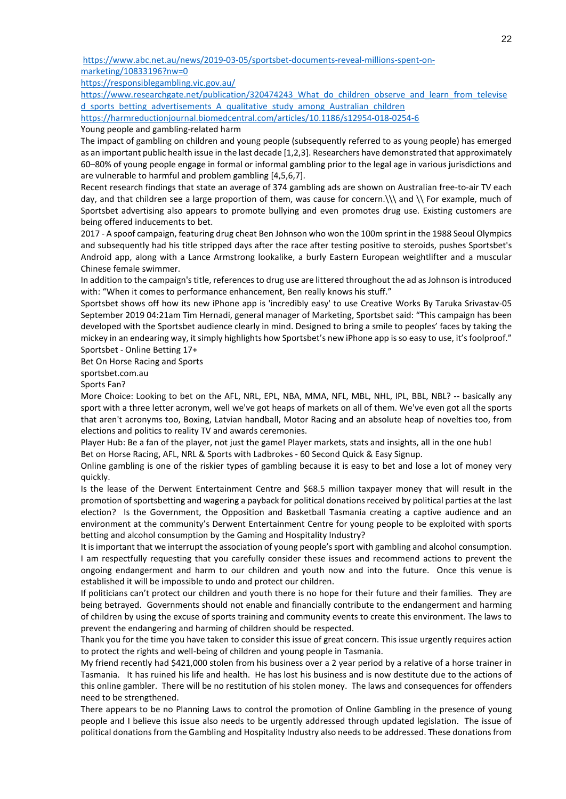[https://www.abc.net.au/news/2019-03-05/sportsbet-documents-reveal-millions-spent-on](https://www.abc.net.au/news/2019-03-05/sportsbet-documents-reveal-millions-spent-on-marketing/10833196?nw=0)[marketing/10833196?nw=0](https://www.abc.net.au/news/2019-03-05/sportsbet-documents-reveal-millions-spent-on-marketing/10833196?nw=0)

<https://responsiblegambling.vic.gov.au/>

https://www.researchgate.net/publication/320474243 What do children observe and learn from televise d sports betting advertisements A qualitative study among Australian children

<https://harmreductionjournal.biomedcentral.com/articles/10.1186/s12954-018-0254-6> Young people and gambling-related harm

The impact of gambling on children and young people (subsequently referred to as young people) has emerged as an important public health issue in the last decade [1,2,3]. Researchers have demonstrated that approximately 60–80% of young people engage in formal or informal gambling prior to the legal age in various jurisdictions and are vulnerable to harmful and problem gambling [4,5,6,7].

Recent research findings that state an average of 374 gambling ads are shown on Australian free-to-air TV each day, and that children see a large proportion of them, was cause for concern.\\\ and \\ For example, much of Sportsbet advertising also appears to promote bullying and even promotes drug use. Existing customers are being offered inducements to bet.

2017 - A spoof campaign, featuring drug cheat Ben Johnson who won the 100m sprint in the 1988 Seoul Olympics and subsequently had his title stripped days after the race after testing positive to steroids, pushes Sportsbet's Android app, along with a Lance Armstrong lookalike, a burly Eastern European weightlifter and a muscular Chinese female swimmer.

In addition to the campaign's title, references to drug use are littered throughout the ad as Johnson is introduced with: "When it comes to performance enhancement, Ben really knows his stuff."

Sportsbet shows off how its new iPhone app is 'incredibly easy' to use Creative Works By Taruka Srivastav-05 September 2019 04:21am Tim Hernadi, general manager of Marketing, Sportsbet said: "This campaign has been developed with the Sportsbet audience clearly in mind. Designed to bring a smile to peoples' faces by taking the mickey in an endearing way, it simply highlights how Sportsbet's new iPhone app is so easy to use, it's foolproof." Sportsbet - Online Betting 17+

Bet On Horse Racing and Sports

sportsbet.com.au

Sports Fan?

More Choice: Looking to bet on the AFL, NRL, EPL, NBA, MMA, NFL, MBL, NHL, IPL, BBL, NBL? -- basically any sport with a three letter acronym, well we've got heaps of markets on all of them. We've even got all the sports that aren't acronyms too, Boxing, Latvian handball, Motor Racing and an absolute heap of novelties too, from elections and politics to reality TV and awards ceremonies.

Player Hub: Be a fan of the player, not just the game! Player markets, stats and insights, all in the one hub! Bet on Horse Racing, AFL, NRL & Sports with Ladbrokes - 60 Second Quick & Easy Signup.

Online gambling is one of the riskier types of gambling because it is easy to bet and lose a lot of money very quickly.

Is the lease of the Derwent Entertainment Centre and \$68.5 million taxpayer money that will result in the promotion of sportsbetting and wagering a payback for political donations received by political parties at the last election? Is the Government, the Opposition and Basketball Tasmania creating a captive audience and an environment at the community's Derwent Entertainment Centre for young people to be exploited with sports betting and alcohol consumption by the Gaming and Hospitality Industry?

It is important that we interrupt the association of young people's sport with gambling and alcohol consumption. I am respectfully requesting that you carefully consider these issues and recommend actions to prevent the ongoing endangerment and harm to our children and youth now and into the future. Once this venue is established it will be impossible to undo and protect our children.

If politicians can't protect our children and youth there is no hope for their future and their families. They are being betrayed. Governments should not enable and financially contribute to the endangerment and harming of children by using the excuse of sports training and community events to create this environment. The laws to prevent the endangering and harming of children should be respected.

Thank you for the time you have taken to consider this issue of great concern. This issue urgently requires action to protect the rights and well-being of children and young people in Tasmania.

My friend recently had \$421,000 stolen from his business over a 2 year period by a relative of a horse trainer in Tasmania. It has ruined his life and health. He has lost his business and is now destitute due to the actions of this online gambler. There will be no restitution of his stolen money. The laws and consequences for offenders need to be strengthened.

There appears to be no Planning Laws to control the promotion of Online Gambling in the presence of young people and I believe this issue also needs to be urgently addressed through updated legislation. The issue of political donations from the Gambling and Hospitality Industry also needs to be addressed. These donations from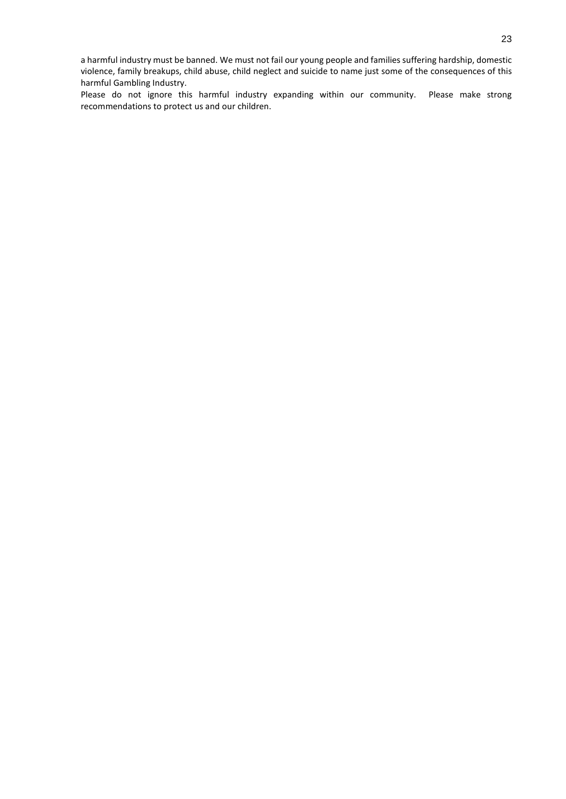a harmful industry must be banned. We must not fail our young people and families suffering hardship, domestic violence, family breakups, child abuse, child neglect and suicide to name just some of the consequences of this harmful Gambling Industry.

Please do not ignore this harmful industry expanding within our community. Please make strong recommendations to protect us and our children.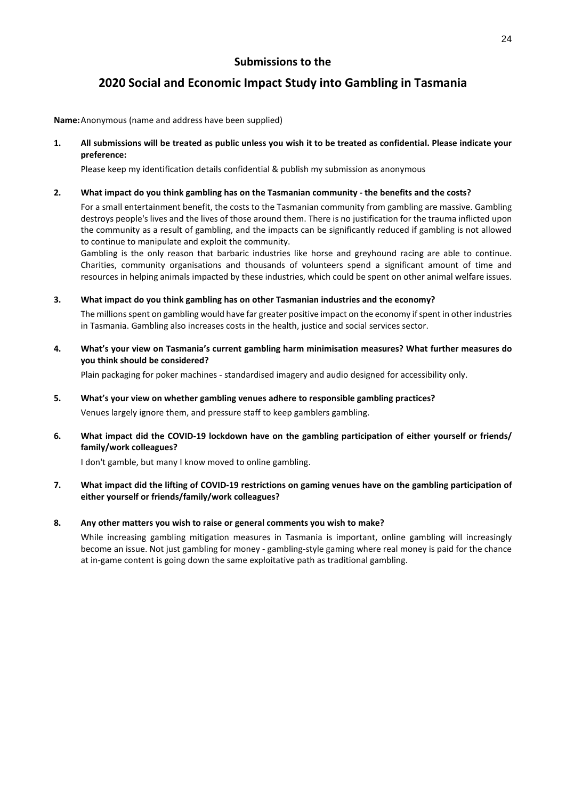# **2020 Social and Economic Impact Study into Gambling in Tasmania**

**Name:** Anonymous (name and address have been supplied)

**1. All submissions will be treated as public unless you wish it to be treated as confidential. Please indicate your preference:** 

Please keep my identification details confidential & publish my submission as anonymous

### **2. What impact do you think gambling has on the Tasmanian community - the benefits and the costs?**

For a small entertainment benefit, the costs to the Tasmanian community from gambling are massive. Gambling destroys people's lives and the lives of those around them. There is no justification for the trauma inflicted upon the community as a result of gambling, and the impacts can be significantly reduced if gambling is not allowed to continue to manipulate and exploit the community.

Gambling is the only reason that barbaric industries like horse and greyhound racing are able to continue. Charities, community organisations and thousands of volunteers spend a significant amount of time and resources in helping animals impacted by these industries, which could be spent on other animal welfare issues.

### **3. What impact do you think gambling has on other Tasmanian industries and the economy?**

The millions spent on gambling would have far greater positive impact on the economy if spent in other industries in Tasmania. Gambling also increases costs in the health, justice and social services sector.

**4. What's your view on Tasmania's current gambling harm minimisation measures? What further measures do you think should be considered?** 

Plain packaging for poker machines - standardised imagery and audio designed for accessibility only.

### **5. What's your view on whether gambling venues adhere to responsible gambling practices?**

Venues largely ignore them, and pressure staff to keep gamblers gambling.

**6. What impact did the COVID-19 lockdown have on the gambling participation of either yourself or friends/ family/work colleagues?** 

I don't gamble, but many I know moved to online gambling.

### **7. What impact did the lifting of COVID-19 restrictions on gaming venues have on the gambling participation of either yourself or friends/family/work colleagues?**

### **8. Any other matters you wish to raise or general comments you wish to make?**

While increasing gambling mitigation measures in Tasmania is important, online gambling will increasingly become an issue. Not just gambling for money - gambling-style gaming where real money is paid for the chance at in-game content is going down the same exploitative path as traditional gambling.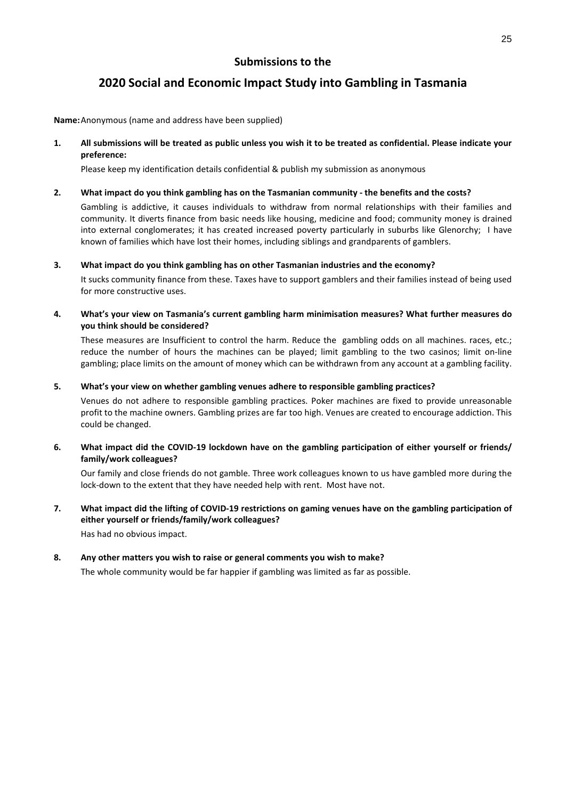# **2020 Social and Economic Impact Study into Gambling in Tasmania**

**Name:** Anonymous (name and address have been supplied)

**1. All submissions will be treated as public unless you wish it to be treated as confidential. Please indicate your preference:** 

Please keep my identification details confidential & publish my submission as anonymous

### **2. What impact do you think gambling has on the Tasmanian community - the benefits and the costs?**

Gambling is addictive, it causes individuals to withdraw from normal relationships with their families and community. It diverts finance from basic needs like housing, medicine and food; community money is drained into external conglomerates; it has created increased poverty particularly in suburbs like Glenorchy; I have known of families which have lost their homes, including siblings and grandparents of gamblers.

### **3. What impact do you think gambling has on other Tasmanian industries and the economy?**

It sucks community finance from these. Taxes have to support gamblers and their families instead of being used for more constructive uses.

**4. What's your view on Tasmania's current gambling harm minimisation measures? What further measures do you think should be considered?** 

These measures are Insufficient to control the harm. Reduce the gambling odds on all machines. races, etc.; reduce the number of hours the machines can be played; limit gambling to the two casinos; limit on-line gambling; place limits on the amount of money which can be withdrawn from any account at a gambling facility.

### **5. What's your view on whether gambling venues adhere to responsible gambling practices?**

Venues do not adhere to responsible gambling practices. Poker machines are fixed to provide unreasonable profit to the machine owners. Gambling prizes are far too high. Venues are created to encourage addiction. This could be changed.

## **6. What impact did the COVID-19 lockdown have on the gambling participation of either yourself or friends/ family/work colleagues?**

Our family and close friends do not gamble. Three work colleagues known to us have gambled more during the lock-down to the extent that they have needed help with rent. Most have not.

# **7. What impact did the lifting of COVID-19 restrictions on gaming venues have on the gambling participation of either yourself or friends/family/work colleagues?**

Has had no obvious impact.

## **8. Any other matters you wish to raise or general comments you wish to make?**

The whole community would be far happier if gambling was limited as far as possible.